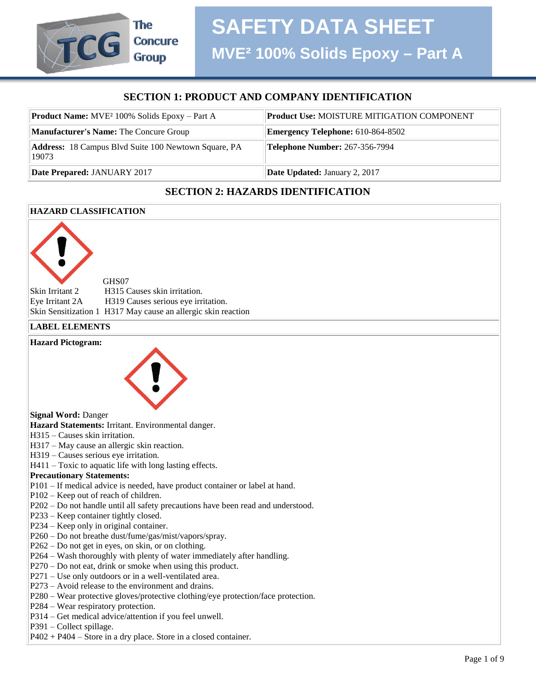# **SECTION 1: PRODUCT AND COMPANY IDENTIFICATION**

| <b>Product Name:</b> MVE <sup>2</sup> 100% Solids Epoxy – Part A | <b>Product Use: MOISTURE MITIGATION COMPONENT</b> |
|------------------------------------------------------------------|---------------------------------------------------|
| <b>Manufacturer's Name: The Concure Group</b>                    | <b>Emergency Telephone: 610-864-8502</b>          |
| Address: 18 Campus Blvd Suite 100 Newtown Square, PA<br>19073    | <b>Telephone Number: 267-356-7994</b>             |
| Date Prepared: JANUARY 2017                                      | <b>Date Updated: January 2, 2017</b>              |

# **SECTION 2: HAZARDS IDENTIFICATION**

#### **HAZARD CLASSIFICATION**

The

**Concure Group** 

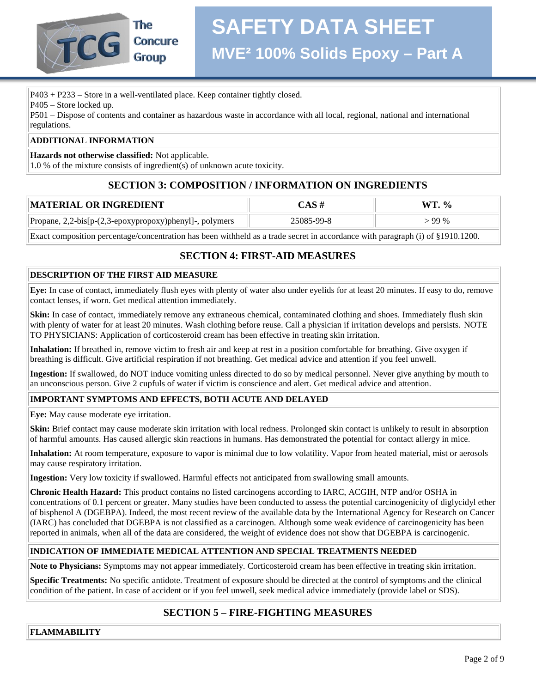

P403 + P233 – Store in a well-ventilated place. Keep container tightly closed.

P405 – Store locked up.

P501 – Dispose of contents and container as hazardous waste in accordance with all local, regional, national and international regulations.

#### **ADDITIONAL INFORMATION**

**Hazards not otherwise classified:** Not applicable.

1.0 % of the mixture consists of ingredient(s) of unknown acute toxicity.

# **SECTION 3: COMPOSITION / INFORMATION ON INGREDIENTS**

| <b> MATERIAL OR INGREDIENT</b>                          | $\triangle$ AS # | $\frac{0}{\alpha}$ |
|---------------------------------------------------------|------------------|--------------------|
| Propane, 2,2-bis[p-(2,3-epoxypropoxy)phenyl]-, polymers | 25085-99-8       | $>99\%$            |

Exact composition percentage/concentration has been withheld as a trade secret in accordance with paragraph (i) of §1910.1200.

# **SECTION 4: FIRST-AID MEASURES**

#### **DESCRIPTION OF THE FIRST AID MEASURE**

**Eye:** In case of contact, immediately flush eyes with plenty of water also under eyelids for at least 20 minutes. If easy to do, remove contact lenses, if worn. Get medical attention immediately.

**Skin:** In case of contact, immediately remove any extraneous chemical, contaminated clothing and shoes. Immediately flush skin with plenty of water for at least 20 minutes. Wash clothing before reuse. Call a physician if irritation develops and persists. NOTE TO PHYSICIANS: Application of corticosteroid cream has been effective in treating skin irritation.

**Inhalation:** If breathed in, remove victim to fresh air and keep at rest in a position comfortable for breathing. Give oxygen if breathing is difficult. Give artificial respiration if not breathing. Get medical advice and attention if you feel unwell.

**Ingestion:** If swallowed, do NOT induce vomiting unless directed to do so by medical personnel. Never give anything by mouth to an unconscious person. Give 2 cupfuls of water if victim is conscience and alert. Get medical advice and attention.

#### **IMPORTANT SYMPTOMS AND EFFECTS, BOTH ACUTE AND DELAYED**

**Eye:** May cause moderate eye irritation.

**Skin:** Brief contact may cause moderate skin irritation with local redness. Prolonged skin contact is unlikely to result in absorption of harmful amounts. Has caused allergic skin reactions in humans. Has demonstrated the potential for contact allergy in mice.

**Inhalation:** At room temperature, exposure to vapor is minimal due to low volatility. Vapor from heated material, mist or aerosols may cause respiratory irritation.

**Ingestion:** Very low toxicity if swallowed. Harmful effects not anticipated from swallowing small amounts.

**Chronic Health Hazard:** This product contains no listed carcinogens according to IARC, ACGIH, NTP and/or OSHA in concentrations of 0.1 percent or greater. Many studies have been conducted to assess the potential carcinogenicity of diglycidyl ether of bisphenol A (DGEBPA). Indeed, the most recent review of the available data by the International Agency for Research on Cancer (IARC) has concluded that DGEBPA is not classified as a carcinogen. Although some weak evidence of carcinogenicity has been reported in animals, when all of the data are considered, the weight of evidence does not show that DGEBPA is carcinogenic.

#### **INDICATION OF IMMEDIATE MEDICAL ATTENTION AND SPECIAL TREATMENTS NEEDED**

**Note to Physicians:** Symptoms may not appear immediately. Corticosteroid cream has been effective in treating skin irritation.

**Specific Treatments:** No specific antidote. Treatment of exposure should be directed at the control of symptoms and the clinical condition of the patient. In case of accident or if you feel unwell, seek medical advice immediately (provide label or SDS).

# **SECTION 5 – FIRE-FIGHTING MEASURES**

**FLAMMABILITY**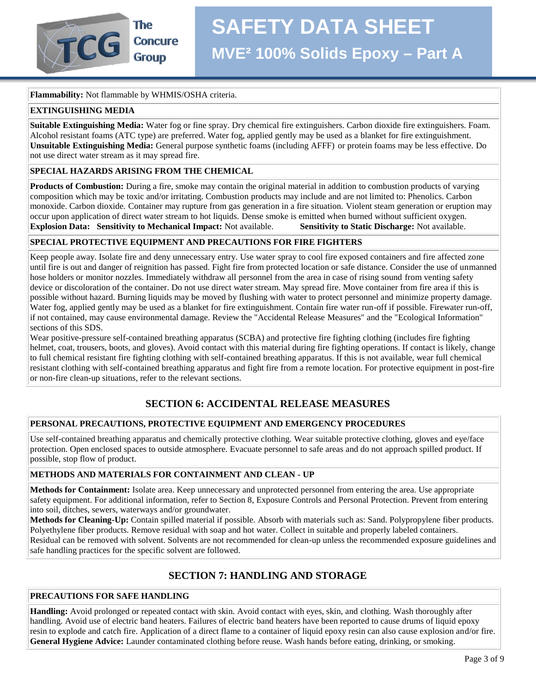#### **Flammability:** Not flammable by WHMIS/OSHA criteria.

#### **EXTINGUISHING MEDIA**

**Suitable Extinguishing Media:** Water fog or fine spray. Dry chemical fire extinguishers. Carbon dioxide fire extinguishers. Foam. Alcohol resistant foams (ATC type) are preferred. Water fog, applied gently may be used as a blanket for fire extinguishment. **Unsuitable Extinguishing Media:** General purpose synthetic foams (including AFFF) or protein foams may be less effective. Do not use direct water stream as it may spread fire.

#### **SPECIAL HAZARDS ARISING FROM THE CHEMICAL**

**Products of Combustion:** During a fire, smoke may contain the original material in addition to combustion products of varying composition which may be toxic and/or irritating. Combustion products may include and are not limited to: Phenolics. Carbon monoxide. Carbon dioxide. Container may rupture from gas generation in a fire situation. Violent steam generation or eruption may occur upon application of direct water stream to hot liquids. Dense smoke is emitted when burned without sufficient oxygen. **Explosion Data: Sensitivity to Mechanical Impact:** Not available. **Sensitivity to Static Discharge:** Not available.

#### **SPECIAL PROTECTIVE EQUIPMENT AND PRECAUTIONS FOR FIRE FIGHTERS**

Keep people away. Isolate fire and deny unnecessary entry. Use water spray to cool fire exposed containers and fire affected zone until fire is out and danger of reignition has passed. Fight fire from protected location or safe distance. Consider the use of unmanned hose holders or monitor nozzles. Immediately withdraw all personnel from the area in case of rising sound from venting safety device or discoloration of the container. Do not use direct water stream. May spread fire. Move container from fire area if this is possible without hazard. Burning liquids may be moved by flushing with water to protect personnel and minimize property damage. Water fog, applied gently may be used as a blanket for fire extinguishment. Contain fire water run-off if possible. Firewater run-off, if not contained, may cause environmental damage. Review the "Accidental Release Measures" and the "Ecological Information" sections of this SDS.

Wear positive-pressure self-contained breathing apparatus (SCBA) and protective fire fighting clothing (includes fire fighting helmet, coat, trousers, boots, and gloves). Avoid contact with this material during fire fighting operations. If contact is likely, change to full chemical resistant fire fighting clothing with self-contained breathing apparatus. If this is not available, wear full chemical resistant clothing with self-contained breathing apparatus and fight fire from a remote location. For protective equipment in post-fire or non-fire clean-up situations, refer to the relevant sections.

# **SECTION 6: ACCIDENTAL RELEASE MEASURES**

#### **PERSONAL PRECAUTIONS, PROTECTIVE EQUIPMENT AND EMERGENCY PROCEDURES**

Use self-contained breathing apparatus and chemically protective clothing. Wear suitable protective clothing, gloves and eye/face protection. Open enclosed spaces to outside atmosphere. Evacuate personnel to safe areas and do not approach spilled product. If possible, stop flow of product.

#### **METHODS AND MATERIALS FOR CONTAINMENT AND CLEAN - UP**

**Methods for Containment:** Isolate area. Keep unnecessary and unprotected personnel from entering the area. Use appropriate safety equipment. For additional information, refer to Section 8, Exposure Controls and Personal Protection. Prevent from entering into soil, ditches, sewers, waterways and/or groundwater.

**Methods for Cleaning-Up:** Contain spilled material if possible. Absorb with materials such as: Sand. Polypropylene fiber products. Polyethylene fiber products. Remove residual with soap and hot water. Collect in suitable and properly labeled containers. Residual can be removed with solvent. Solvents are not recommended for clean-up unless the recommended exposure guidelines and safe handling practices for the specific solvent are followed.

# **SECTION 7: HANDLING AND STORAGE**

#### **PRECAUTIONS FOR SAFE HANDLING**

**Handling:** Avoid prolonged or repeated contact with skin. Avoid contact with eyes, skin, and clothing. Wash thoroughly after handling. Avoid use of electric band heaters. Failures of electric band heaters have been reported to cause drums of liquid epoxy resin to explode and catch fire. Application of a direct flame to a container of liquid epoxy resin can also cause explosion and/or fire. **General Hygiene Advice:** Launder contaminated clothing before reuse. Wash hands before eating, drinking, or smoking.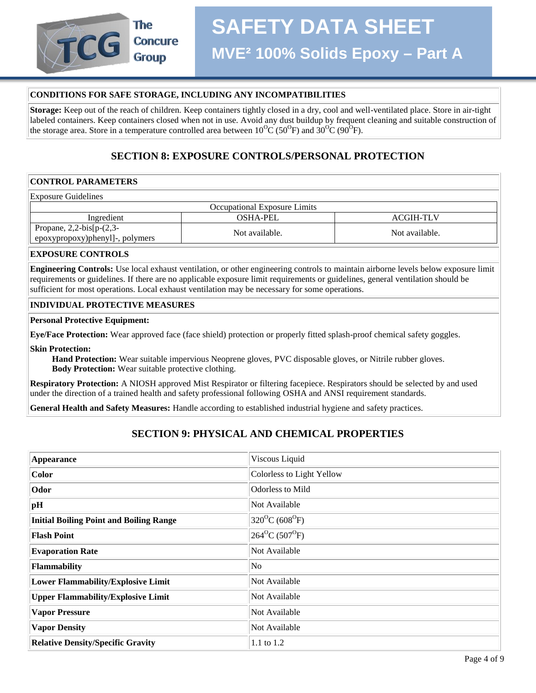

#### **CONDITIONS FOR SAFE STORAGE, INCLUDING ANY INCOMPATIBILITIES**

**Storage:** Keep out of the reach of children. Keep containers tightly closed in a dry, cool and well-ventilated place. Store in air-tight labeled containers. Keep containers closed when not in use. Avoid any dust buildup by frequent cleaning and suitable construction of the storage area. Store in a temperature controlled area between  $10^{0}C(50^{0}F)$  and  $30^{0}C(90^{0}F)$ .

## **SECTION 8: EXPOSURE CONTROLS/PERSONAL PROTECTION**

#### **CONTROL PARAMETERS**

| <b>Exposure Guidelines</b>                                    |                |                |  |  |
|---------------------------------------------------------------|----------------|----------------|--|--|
| Occupational Exposure Limits                                  |                |                |  |  |
| Ingredient<br><b>ACGIH-TLV</b><br>OSHA-PEL                    |                |                |  |  |
| Propane, $2,2-bis[p-(2,3-$<br>epoxypropoxy)phenyl]-, polymers | Not available. | Not available. |  |  |

#### **EXPOSURE CONTROLS**

**Engineering Controls:** Use local exhaust ventilation, or other engineering controls to maintain airborne levels below exposure limit requirements or guidelines. If there are no applicable exposure limit requirements or guidelines, general ventilation should be sufficient for most operations. Local exhaust ventilation may be necessary for some operations.

#### **INDIVIDUAL PROTECTIVE MEASURES**

#### **Personal Protective Equipment:**

**Eye/Face Protection:** Wear approved face (face shield) protection or properly fitted splash-proof chemical safety goggles.

**Skin Protection:**

 **Hand Protection:** Wear suitable impervious Neoprene gloves, PVC disposable gloves, or Nitrile rubber gloves.  **Body Protection:** Wear suitable protective clothing.

**Respiratory Protection:** A NIOSH approved Mist Respirator or filtering facepiece. Respirators should be selected by and used under the direction of a trained health and safety professional following OSHA and ANSI requirement standards.

**General Health and Safety Measures:** Handle according to established industrial hygiene and safety practices.

# **SECTION 9: PHYSICAL AND CHEMICAL PROPERTIES**

| <b>Appearance</b>                              | Viscous Liquid                            |
|------------------------------------------------|-------------------------------------------|
| Color                                          | Colorless to Light Yellow                 |
| Odor                                           | <b>Odorless to Mild</b>                   |
| pH                                             | Not Available                             |
| <b>Initial Boiling Point and Boiling Range</b> | $320^{\circ}C(608^{\circ}F)$              |
| <b>Flash Point</b>                             | $264$ <sup>o</sup> C (507 <sup>o</sup> F) |
| <b>Evaporation Rate</b>                        | Not Available                             |
| <b>Flammability</b>                            | N <sub>o</sub>                            |
| <b>Lower Flammability/Explosive Limit</b>      | Not Available                             |
| <b>Upper Flammability/Explosive Limit</b>      | Not Available                             |
| <b>Vapor Pressure</b>                          | Not Available                             |
| <b>Vapor Density</b>                           | Not Available                             |
| <b>Relative Density/Specific Gravity</b>       | 1.1 to 1.2                                |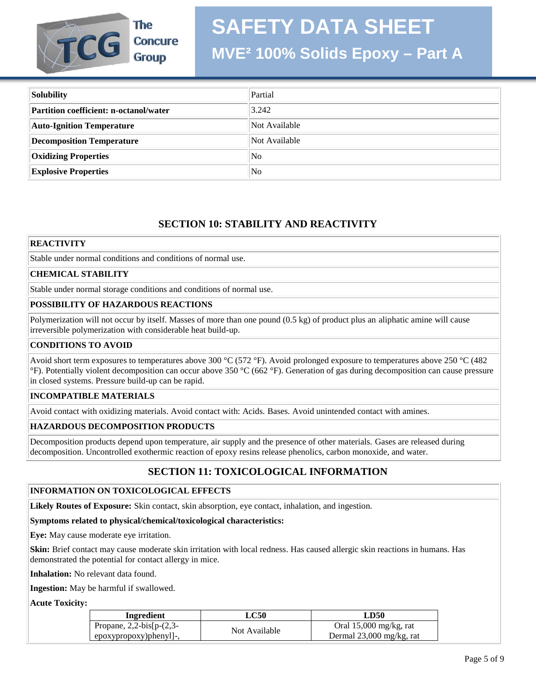

The **Concure Group** 

# **SAFETY DATA SHEET**

# **MVE² 100% Solids Epoxy – Part A**

| Solubility                             | Partial        |
|----------------------------------------|----------------|
| Partition coefficient: n-octanol/water | 3.242          |
| <b>Auto-Ignition Temperature</b>       | Not Available  |
| Decomposition Temperature              | Not Available  |
| <b>Oxidizing Properties</b>            | N <sub>0</sub> |
| <b>Explosive Properties</b>            | N <sub>0</sub> |

# **SECTION 10: STABILITY AND REACTIVITY**

#### **REACTIVITY**

Stable under normal conditions and conditions of normal use.

#### **CHEMICAL STABILITY**

Stable under normal storage conditions and conditions of normal use.

#### **POSSIBILITY OF HAZARDOUS REACTIONS**

Polymerization will not occur by itself. Masses of more than one pound (0.5 kg) of product plus an aliphatic amine will cause irreversible polymerization with considerable heat build-up.

#### **CONDITIONS TO AVOID**

Avoid short term exposures to temperatures above 300 °C (572 °F). Avoid prolonged exposure to temperatures above 250 °C (482 °F). Potentially violent decomposition can occur above 350 °C (662 °F). Generation of gas during decomposition can cause pressure in closed systems. Pressure build-up can be rapid.

#### **INCOMPATIBLE MATERIALS**

Avoid contact with oxidizing materials. Avoid contact with: Acids. Bases. Avoid unintended contact with amines.

#### **HAZARDOUS DECOMPOSITION PRODUCTS**

Decomposition products depend upon temperature, air supply and the presence of other materials. Gases are released during decomposition. Uncontrolled exothermic reaction of epoxy resins release phenolics, carbon monoxide, and water.

# **SECTION 11: TOXICOLOGICAL INFORMATION**

#### **INFORMATION ON TOXICOLOGICAL EFFECTS**

**Likely Routes of Exposure:** Skin contact, skin absorption, eye contact, inhalation, and ingestion.

#### **Symptoms related to physical/chemical/toxicological characteristics:**

**Eye:** May cause moderate eye irritation.

**Skin:** Brief contact may cause moderate skin irritation with local redness. Has caused allergic skin reactions in humans. Has demonstrated the potential for contact allergy in mice.

**Inhalation:** No relevant data found.

**Ingestion:** May be harmful if swallowed.

**Acute Toxicity:**

| <b>Ingredient</b>               | LC50          | LD50                     |
|---------------------------------|---------------|--------------------------|
| Propane, $2,2$ -bis[p- $(2,3$ - | Not Available | Oral $15,000$ mg/kg, rat |
| epoxypropoxy)phenyl]-,          |               | Dermal 23,000 mg/kg, rat |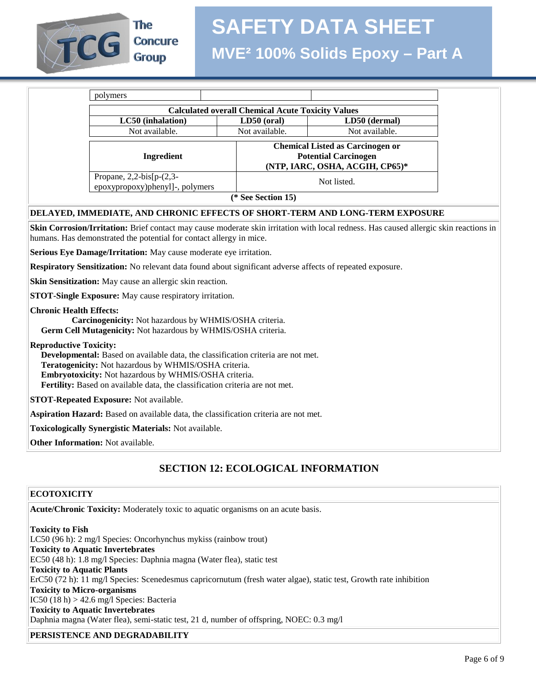

The **Concure Group** 

|                                                                                                                         | <b>Calculated overall Chemical Acute Toxicity Values</b> |                |
|-------------------------------------------------------------------------------------------------------------------------|----------------------------------------------------------|----------------|
| LC50 (inhalation)                                                                                                       | $LD50$ (oral)                                            | LD50 (dermal)  |
| Not available.                                                                                                          | Not available.                                           | Not available. |
| <b>Chemical Listed as Carcinogen or</b><br><b>Potential Carcinogen</b><br>Ingredient<br>(NTP, IARC, OSHA, ACGIH, CP65)* |                                                          |                |
| Propane, $2,2-bis[p-(2,3-$<br>epoxypropoxy)phenyl]-, polymers                                                           | Not listed.                                              |                |

#### **DELAYED, IMMEDIATE, AND CHRONIC EFFECTS OF SHORT-TERM AND LONG-TERM EXPOSURE**

**Skin Corrosion/Irritation:** Brief contact may cause moderate skin irritation with local redness. Has caused allergic skin reactions in humans. Has demonstrated the potential for contact allergy in mice.

**Serious Eye Damage/Irritation:** May cause moderate eye irritation.

**Respiratory Sensitization:** No relevant data found about significant adverse affects of repeated exposure.

**Skin Sensitization:** May cause an allergic skin reaction.

**STOT-Single Exposure:** May cause respiratory irritation.

#### **Chronic Health Effects:**

 **Carcinogenicity:** Not hazardous by WHMIS/OSHA criteria.  **Germ Cell Mutagenicity:** Not hazardous by WHMIS/OSHA criteria.

#### **Reproductive Toxicity:**

 **Developmental:** Based on available data, the classification criteria are not met.  **Teratogenicity:** Not hazardous by WHMIS/OSHA criteria.  **Embryotoxicity:** Not hazardous by WHMIS/OSHA criteria.  **Fertility:** Based on available data, the classification criteria are not met.

**STOT-Repeated Exposure:** Not available.

**Aspiration Hazard:** Based on available data, the classification criteria are not met.

**Toxicologically Synergistic Materials:** Not available.

**Other Information:** Not available.

# **SECTION 12: ECOLOGICAL INFORMATION**

#### **ECOTOXICITY**

**Acute/Chronic Toxicity:** Moderately toxic to aquatic organisms on an acute basis.

**Toxicity to Fish** LC50 (96 h): 2 mg/l Species: Oncorhynchus mykiss (rainbow trout) **Toxicity to Aquatic Invertebrates** EC50 (48 h): 1.8 mg/l Species: Daphnia magna (Water flea), static test **Toxicity to Aquatic Plants** ErC50 (72 h): 11 mg/l Species: Scenedesmus capricornutum (fresh water algae), static test, Growth rate inhibition **Toxicity to Micro-organisms** IC50  $(18 h) > 42.6$  mg/l Species: Bacteria **Toxicity to Aquatic Invertebrates** Daphnia magna (Water flea), semi-static test, 21 d, number of offspring, NOEC: 0.3 mg/l

### **PERSISTENCE AND DEGRADABILITY**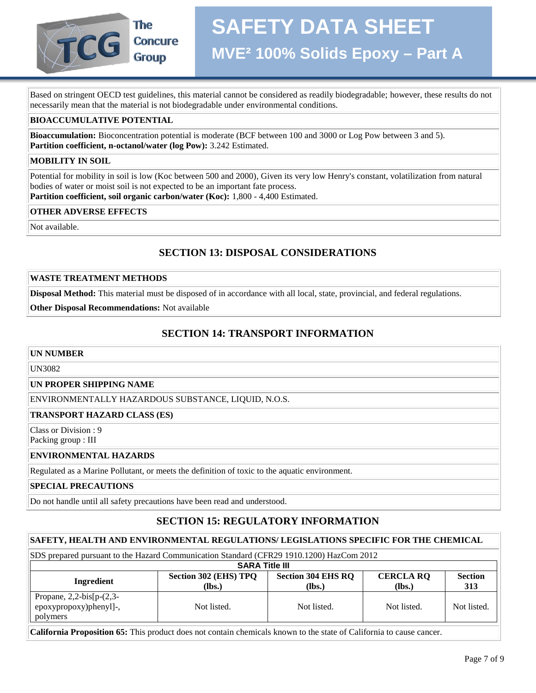

# The **Concure Group**

Based on stringent OECD test guidelines, this material cannot be considered as readily biodegradable; however, these results do not necessarily mean that the material is not biodegradable under environmental conditions.

#### **BIOACCUMULATIVE POTENTIAL**

**Bioaccumulation:** Bioconcentration potential is moderate (BCF between 100 and 3000 or Log Pow between 3 and 5). **Partition coefficient, n-octanol/water (log Pow):** 3.242 Estimated.

#### **MOBILITY IN SOIL**

Potential for mobility in soil is low (Koc between 500 and 2000), Given its very low Henry's constant, volatilization from natural bodies of water or moist soil is not expected to be an important fate process. **Partition coefficient, soil organic carbon/water (Koc):** 1,800 - 4,400 Estimated.

**OTHER ADVERSE EFFECTS**

Not available.

# **SECTION 13: DISPOSAL CONSIDERATIONS**

#### **WASTE TREATMENT METHODS**

**Disposal Method:** This material must be disposed of in accordance with all local, state, provincial, and federal regulations.

**Other Disposal Recommendations:** Not available

# **SECTION 14: TRANSPORT INFORMATION**

#### **UN NUMBER**

#### UN3082

#### **UN PROPER SHIPPING NAME**

ENVIRONMENTALLY HAZARDOUS SUBSTANCE, LIQUID, N.O.S.

#### **TRANSPORT HAZARD CLASS (ES)**

Class or Division : 9 Packing group : III

#### **ENVIRONMENTAL HAZARDS**

Regulated as a Marine Pollutant, or meets the definition of toxic to the aquatic environment.

#### **SPECIAL PRECAUTIONS**

Do not handle until all safety precautions have been read and understood.

# **SECTION 15: REGULATORY INFORMATION**

#### **SAFETY, HEALTH AND ENVIRONMENTAL REGULATIONS/ LEGISLATIONS SPECIFIC FOR THE CHEMICAL**

| SDS prepared pursuant to the Hazard Communication Standard (CFR29 1910.1200) HazCom 2012 |                                 |                                       |                            |                       |
|------------------------------------------------------------------------------------------|---------------------------------|---------------------------------------|----------------------------|-----------------------|
| <b>SARA Title III</b>                                                                    |                                 |                                       |                            |                       |
| Ingredient                                                                               | Section 302 (EHS) TPQ<br>(lbs.) | <b>Section 304 EHS RO</b><br>$(lbs.)$ | <b>CERCLA RQ</b><br>(Ibs.) | <b>Section</b><br>313 |
| Propane, $2,2-bis[p-(2,3-$<br>epoxypropoxy)phenyl]-,<br>polymers                         | Not listed.                     | Not listed.                           | Not listed.                | Not listed.           |

**California Proposition 65:** This product does not contain chemicals known to the state of California to cause cancer.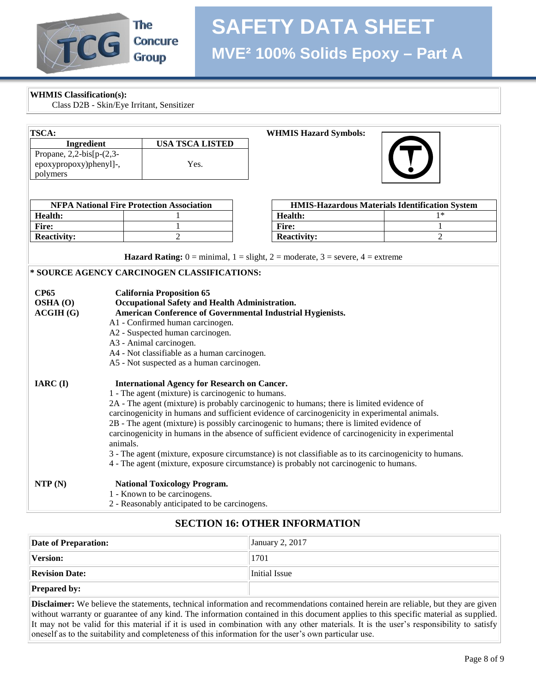

# **SAFETY DATA SHEET MVE² 100% Solids Epoxy – Part A**

**WHMIS Classification(s):** 

Class D2B - Skin/Eye Irritant, Sensitizer

| TSCA:                                                                                              |                                                                                                         |                                                            | <b>WHMIS Hazard Symbols:</b>                                                                                                          |                                                       |  |
|----------------------------------------------------------------------------------------------------|---------------------------------------------------------------------------------------------------------|------------------------------------------------------------|---------------------------------------------------------------------------------------------------------------------------------------|-------------------------------------------------------|--|
| Ingredient                                                                                         |                                                                                                         | <b>USA TSCA LISTED</b>                                     |                                                                                                                                       |                                                       |  |
| Propane, $2,2-bis[p-(2,3-$                                                                         |                                                                                                         |                                                            |                                                                                                                                       |                                                       |  |
| epoxypropoxy)phenyl]-,                                                                             |                                                                                                         | Yes.                                                       |                                                                                                                                       |                                                       |  |
| polymers                                                                                           |                                                                                                         |                                                            |                                                                                                                                       |                                                       |  |
|                                                                                                    |                                                                                                         |                                                            |                                                                                                                                       |                                                       |  |
|                                                                                                    |                                                                                                         | <b>NFPA National Fire Protection Association</b>           |                                                                                                                                       | <b>HMIS-Hazardous Materials Identification System</b> |  |
| Health:                                                                                            |                                                                                                         |                                                            | Health:                                                                                                                               | $1*$                                                  |  |
| Fire:                                                                                              |                                                                                                         | 1                                                          | Fire:                                                                                                                                 | 1                                                     |  |
| <b>Reactivity:</b>                                                                                 |                                                                                                         | $\overline{2}$                                             | <b>Reactivity:</b>                                                                                                                    | $\overline{2}$                                        |  |
|                                                                                                    |                                                                                                         |                                                            |                                                                                                                                       |                                                       |  |
|                                                                                                    |                                                                                                         |                                                            | <b>Hazard Rating:</b> $0 = \text{minimal}$ , $1 = \text{slight}$ , $2 = \text{moderate}$ , $3 = \text{severe}$ , $4 = \text{extreme}$ |                                                       |  |
|                                                                                                    |                                                                                                         | * SOURCE AGENCY CARCINOGEN CLASSIFICATIONS:                |                                                                                                                                       |                                                       |  |
|                                                                                                    |                                                                                                         |                                                            |                                                                                                                                       |                                                       |  |
| <b>CP65</b>                                                                                        |                                                                                                         | <b>California Proposition 65</b>                           |                                                                                                                                       |                                                       |  |
| OSHA (O)                                                                                           |                                                                                                         | Occupational Safety and Health Administration.             |                                                                                                                                       |                                                       |  |
| ACGIH(G)                                                                                           |                                                                                                         | American Conference of Governmental Industrial Hygienists. |                                                                                                                                       |                                                       |  |
|                                                                                                    | A1 - Confirmed human carcinogen.                                                                        |                                                            |                                                                                                                                       |                                                       |  |
| A2 - Suspected human carcinogen.                                                                   |                                                                                                         |                                                            |                                                                                                                                       |                                                       |  |
|                                                                                                    |                                                                                                         | A3 - Animal carcinogen.                                    |                                                                                                                                       |                                                       |  |
|                                                                                                    |                                                                                                         | A4 - Not classifiable as a human carcinogen.               |                                                                                                                                       |                                                       |  |
|                                                                                                    |                                                                                                         | A5 - Not suspected as a human carcinogen.                  |                                                                                                                                       |                                                       |  |
| IARC (I)                                                                                           |                                                                                                         | <b>International Agency for Research on Cancer.</b>        |                                                                                                                                       |                                                       |  |
|                                                                                                    |                                                                                                         |                                                            |                                                                                                                                       |                                                       |  |
| 1 - The agent (mixture) is carcinogenic to humans.                                                 |                                                                                                         |                                                            |                                                                                                                                       |                                                       |  |
| 2A - The agent (mixture) is probably carcinogenic to humans; there is limited evidence of          |                                                                                                         |                                                            |                                                                                                                                       |                                                       |  |
|                                                                                                    | carcinogenicity in humans and sufficient evidence of carcinogenicity in experimental animals.           |                                                            |                                                                                                                                       |                                                       |  |
| 2B - The agent (mixture) is possibly carcinogenic to humans; there is limited evidence of          |                                                                                                         |                                                            |                                                                                                                                       |                                                       |  |
| carcinogenicity in humans in the absence of sufficient evidence of carcinogenicity in experimental |                                                                                                         |                                                            |                                                                                                                                       |                                                       |  |
|                                                                                                    | animals.                                                                                                |                                                            |                                                                                                                                       |                                                       |  |
|                                                                                                    | 3 - The agent (mixture, exposure circumstance) is not classifiable as to its carcinogenicity to humans. |                                                            |                                                                                                                                       |                                                       |  |
|                                                                                                    |                                                                                                         |                                                            | 4 - The agent (mixture, exposure circumstance) is probably not carcinogenic to humans.                                                |                                                       |  |
| NTP(N)                                                                                             |                                                                                                         | <b>National Toxicology Program.</b>                        |                                                                                                                                       |                                                       |  |
|                                                                                                    |                                                                                                         | 1 - Known to be carcinogens.                               |                                                                                                                                       |                                                       |  |
| 2 - Reasonably anticipated to be carcinogens.                                                      |                                                                                                         |                                                            |                                                                                                                                       |                                                       |  |

### **SECTION 16: OTHER INFORMATION**

| Date of Preparation:  | January 2, 2017 |
|-----------------------|-----------------|
| Version:              | 1701            |
| <b>Revision Date:</b> | Initial Issue   |
| <b>Prepared by:</b>   |                 |

**Disclaimer:** We believe the statements, technical information and recommendations contained herein are reliable, but they are given without warranty or guarantee of any kind. The information contained in this document applies to this specific material as supplied. It may not be valid for this material if it is used in combination with any other materials. It is the user's responsibility to satisfy oneself as to the suitability and completeness of this information for the user's own particular use.